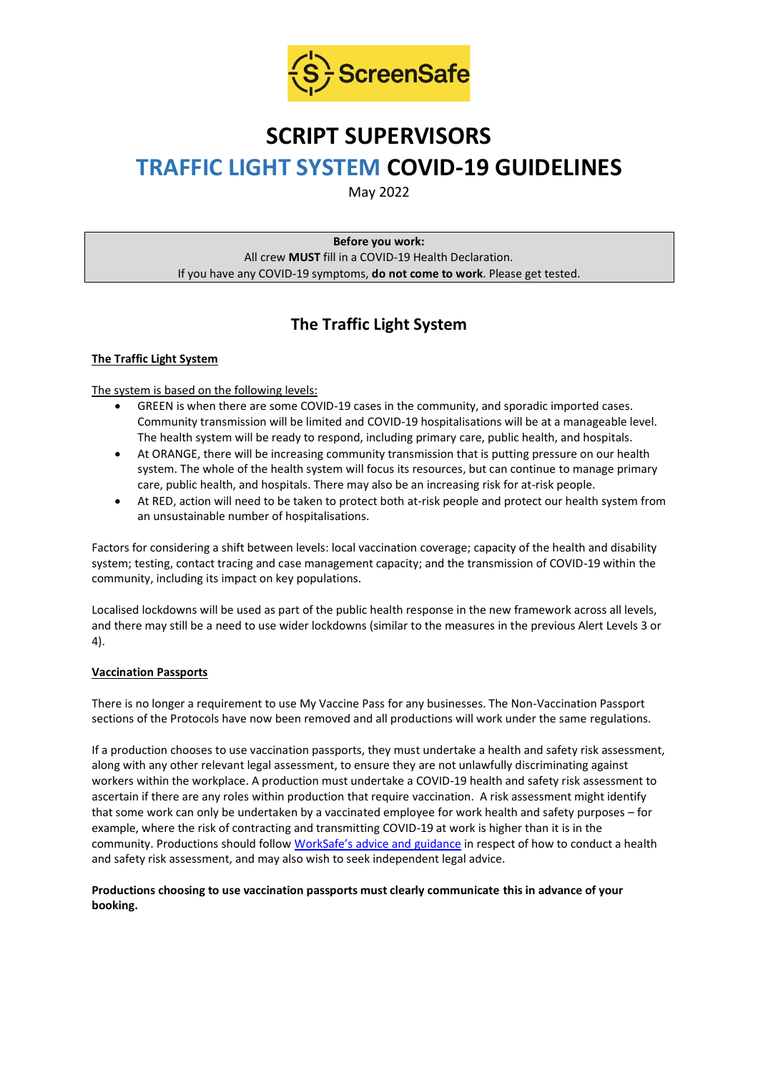

# **SCRIPT SUPERVISORS TRAFFIC LIGHT SYSTEM COVID-19 GUIDELINES**

May 2022

**Before you work:** All crew **MUST** fill in a COVID-19 Health Declaration. If you have any COVID-19 symptoms, **do not come to work**. Please get tested.

## **The Traffic Light System**

#### **The Traffic Light System**

The system is based on the following levels:

- GREEN is when there are some COVID-19 cases in the community, and sporadic imported cases. Community transmission will be limited and COVID-19 hospitalisations will be at a manageable level. The health system will be ready to respond, including primary care, public health, and hospitals.
- At ORANGE, there will be increasing community transmission that is putting pressure on our health system. The whole of the health system will focus its resources, but can continue to manage primary care, public health, and hospitals. There may also be an increasing risk for at-risk people.
- At RED, action will need to be taken to protect both at-risk people and protect our health system from an unsustainable number of hospitalisations.

Factors for considering a shift between levels: local vaccination coverage; capacity of the health and disability system; testing, contact tracing and case management capacity; and the transmission of COVID-19 within the community, including its impact on key populations.

Localised lockdowns will be used as part of the public health response in the new framework across all levels, and there may still be a need to use wider lockdowns (similar to the measures in the previous Alert Levels 3 or 4).

#### **Vaccination Passports**

There is no longer a requirement to use My Vaccine Pass for any businesses. The Non-Vaccination Passport sections of the Protocols have now been removed and all productions will work under the same regulations.

If a production chooses to use vaccination passports, they must undertake a health and safety risk assessment, along with any other relevant legal assessment, to ensure they are not unlawfully discriminating against workers within the workplace. A production must undertake a COVID-19 health and safety risk assessment to ascertain if there are any roles within production that require vaccination. A risk assessment might identify that some work can only be undertaken by a vaccinated employee for work health and safety purposes – for example, where the risk of contracting and transmitting COVID-19 at work is higher than it is in the community. Productions should follow [WorkSafe's advice and guidance](https://www.worksafe.govt.nz/managing-health-and-safety/novel-coronavirus-covid/covid-19-controls-at-work/) in respect of how to conduct a health and safety risk assessment, and may also wish to seek independent legal advice.

#### **Productions choosing to use vaccination passports must clearly communicate this in advance of your booking.**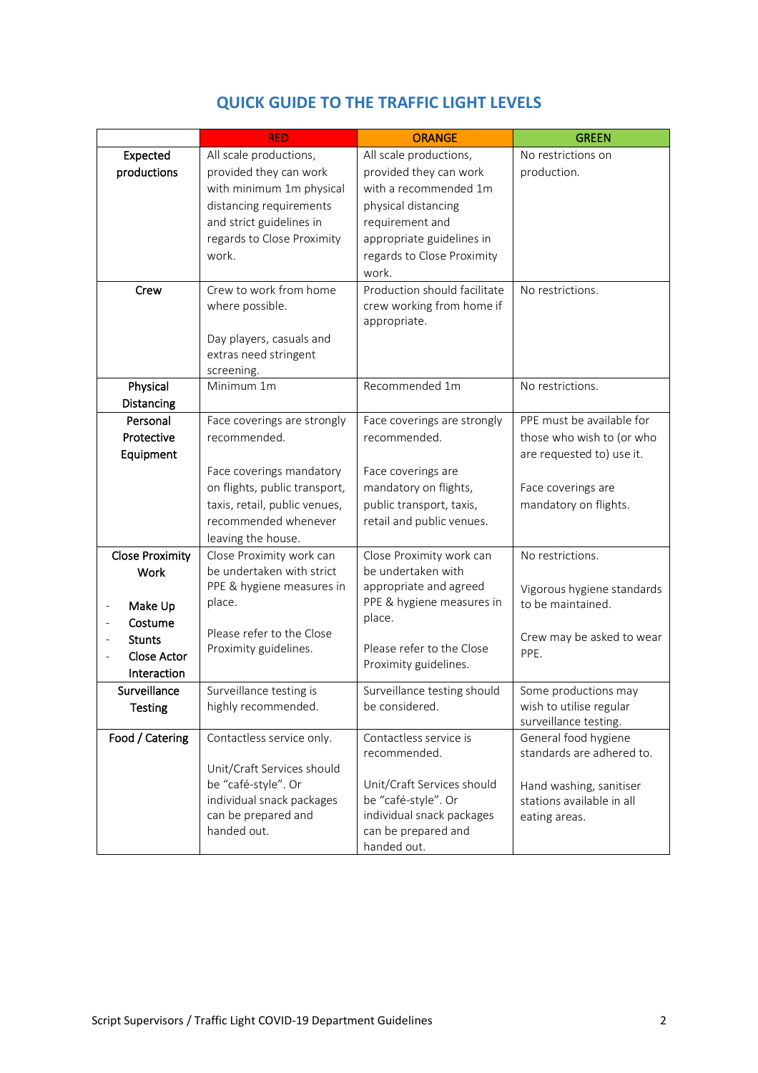|                            | <b>RED</b>                                                | <b>ORANGE</b>                | <b>GREEN</b>                                    |
|----------------------------|-----------------------------------------------------------|------------------------------|-------------------------------------------------|
| Expected                   | All scale productions,                                    | All scale productions,       | No restrictions on                              |
| productions                | provided they can work                                    | provided they can work       | production.                                     |
|                            | with minimum 1m physical                                  | with a recommended 1m        |                                                 |
|                            | distancing requirements                                   | physical distancing          |                                                 |
|                            | and strict guidelines in                                  | requirement and              |                                                 |
|                            | regards to Close Proximity                                | appropriate guidelines in    |                                                 |
|                            | work.                                                     | regards to Close Proximity   |                                                 |
|                            |                                                           | work.                        |                                                 |
| Crew                       | Crew to work from home                                    | Production should facilitate | No restrictions.                                |
|                            | where possible.                                           | crew working from home if    |                                                 |
|                            |                                                           | appropriate.                 |                                                 |
|                            | Day players, casuals and                                  |                              |                                                 |
|                            | extras need stringent                                     |                              |                                                 |
|                            | screening.<br>Minimum 1m                                  | Recommended 1m               | No restrictions.                                |
| Physical<br>Distancing     |                                                           |                              |                                                 |
| Personal                   | Face coverings are strongly                               | Face coverings are strongly  | PPE must be available for                       |
| Protective                 | recommended.                                              | recommended.                 | those who wish to (or who                       |
|                            |                                                           |                              | are requested to) use it.                       |
| Equipment                  |                                                           | Face coverings are           |                                                 |
|                            | Face coverings mandatory<br>on flights, public transport, | mandatory on flights,        | Face coverings are                              |
|                            |                                                           |                              |                                                 |
|                            | taxis, retail, public venues,<br>recommended whenever     | public transport, taxis,     | mandatory on flights.                           |
|                            |                                                           | retail and public venues.    |                                                 |
| <b>Close Proximity</b>     | leaving the house.<br>Close Proximity work can            | Close Proximity work can     | No restrictions.                                |
| Work                       | be undertaken with strict                                 | be undertaken with           |                                                 |
|                            | PPE & hygiene measures in                                 | appropriate and agreed       |                                                 |
|                            | place.                                                    | PPE & hygiene measures in    | Vigorous hygiene standards<br>to be maintained. |
| Make Up<br>Costume         |                                                           | place.                       |                                                 |
|                            | Please refer to the Close                                 |                              | Crew may be asked to wear                       |
| <b>Stunts</b>              | Proximity guidelines.                                     | Please refer to the Close    | PPE.                                            |
| Close Actor<br>Interaction |                                                           | Proximity guidelines.        |                                                 |
| Surveillance               | Surveillance testing is                                   | Surveillance testing should  | Some productions may                            |
| <b>Testing</b>             | highly recommended.                                       | be considered.               | wish to utilise regular                         |
|                            |                                                           |                              | surveillance testing.                           |
| Food / Catering            | Contactless service only.                                 | Contactless service is       | General food hygiene                            |
|                            |                                                           | recommended.                 | standards are adhered to.                       |
|                            | Unit/Craft Services should                                |                              |                                                 |
|                            | be "café-style". Or                                       | Unit/Craft Services should   | Hand washing, sanitiser                         |
|                            | individual snack packages                                 | be "café-style". Or          | stations available in all                       |
|                            | can be prepared and                                       | individual snack packages    | eating areas.                                   |
|                            | handed out.                                               | can be prepared and          |                                                 |
|                            |                                                           | handed out.                  |                                                 |

### **QUICK GUIDE TO THE TRAFFIC LIGHT LEVELS**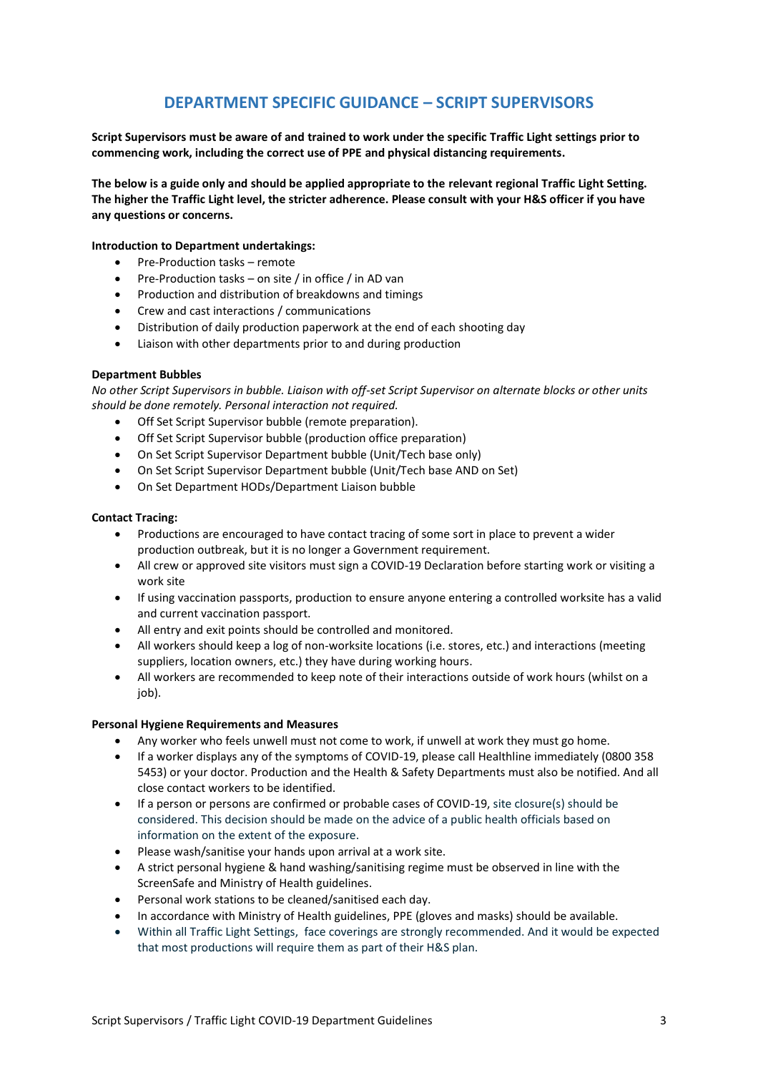### **DEPARTMENT SPECIFIC GUIDANCE – SCRIPT SUPERVISORS**

**Script Supervisors must be aware of and trained to work under the specific Traffic Light settings prior to commencing work, including the correct use of PPE and physical distancing requirements.**

**The below is a guide only and should be applied appropriate to the relevant regional Traffic Light Setting. The higher the Traffic Light level, the stricter adherence. Please consult with your H&S officer if you have any questions or concerns.**

#### **Introduction to Department undertakings:**

- Pre-Production tasks remote
- Pre-Production tasks on site / in office / in AD van
- Production and distribution of breakdowns and timings
- Crew and cast interactions / communications
- Distribution of daily production paperwork at the end of each shooting day
- Liaison with other departments prior to and during production

#### **Department Bubbles**

*No other Script Supervisors in bubble. Liaison with off-set Script Supervisor on alternate blocks or other units should be done remotely. Personal interaction not required.*

- Off Set Script Supervisor bubble (remote preparation).
- Off Set Script Supervisor bubble (production office preparation)
- On Set Script Supervisor Department bubble (Unit/Tech base only)
- On Set Script Supervisor Department bubble (Unit/Tech base AND on Set)
- On Set Department HODs/Department Liaison bubble

#### **Contact Tracing:**

- Productions are encouraged to have contact tracing of some sort in place to prevent a wider production outbreak, but it is no longer a Government requirement.
- All crew or approved site visitors must sign a COVID-19 Declaration before starting work or visiting a work site
- If using vaccination passports, production to ensure anyone entering a controlled worksite has a valid and current vaccination passport.
- All entry and exit points should be controlled and monitored.
- All workers should keep a log of non-worksite locations (i.e. stores, etc.) and interactions (meeting suppliers, location owners, etc.) they have during working hours.
- All workers are recommended to keep note of their interactions outside of work hours (whilst on a job).

#### **Personal Hygiene Requirements and Measures**

- Any worker who feels unwell must not come to work, if unwell at work they must go home.
- If a worker displays any of the symptoms of COVID-19, please call Healthline immediately (0800 358 5453) or your doctor. Production and the Health & Safety Departments must also be notified. And all close contact workers to be identified.
- If a person or persons are confirmed or probable cases of COVID-19, site closure(s) should be considered. This decision should be made on the advice of a public health officials based on information on the extent of the exposure.
- Please wash/sanitise your hands upon arrival at a work site.
- A strict personal hygiene & hand washing/sanitising regime must be observed in line with the ScreenSafe and Ministry of Health guidelines.
- Personal work stations to be cleaned/sanitised each day.
- In accordance with Ministry of Health guidelines, PPE (gloves and masks) should be available.
- Within all Traffic Light Settings, face coverings are strongly recommended. And it would be expected that most productions will require them as part of their H&S plan.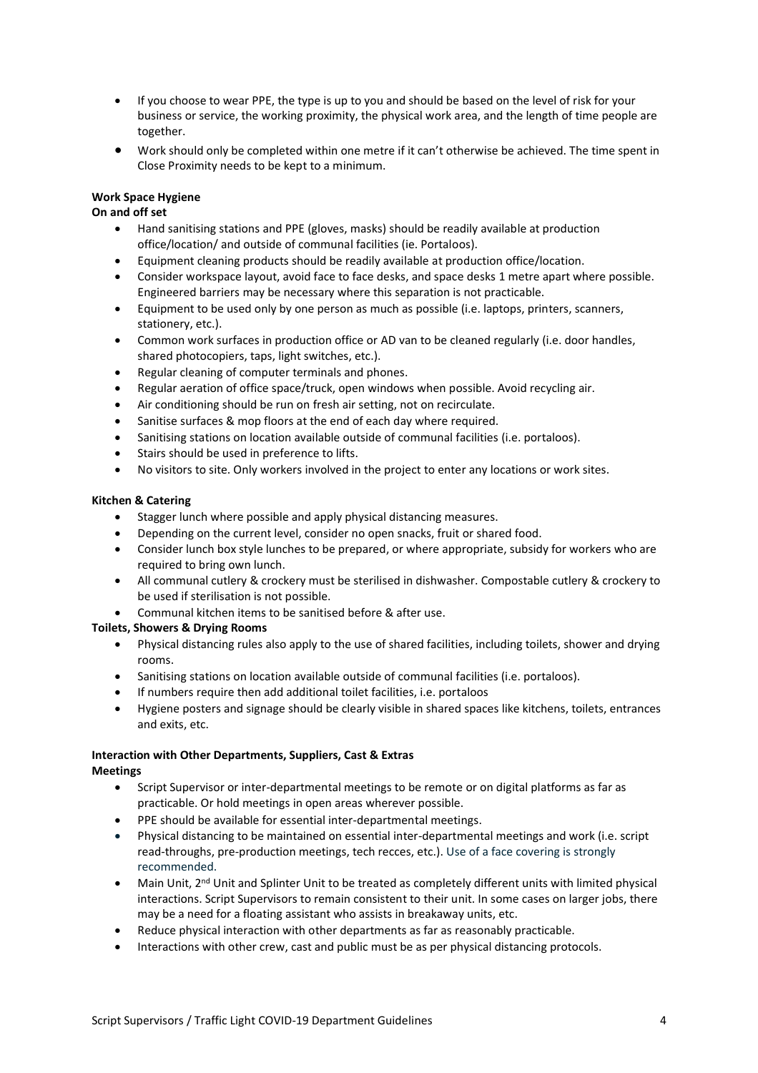- If you choose to wear PPE, the type is up to you and should be based on the level of risk for your business or service, the working proximity, the physical work area, and the length of time people are together.
- Work should only be completed within one metre if it can't otherwise be achieved. The time spent in Close Proximity needs to be kept to a minimum.

#### **Work Space Hygiene**

#### **On and off set**

- Hand sanitising stations and PPE (gloves, masks) should be readily available at production office/location/ and outside of communal facilities (ie. Portaloos).
- Equipment cleaning products should be readily available at production office/location.
- Consider workspace layout, avoid face to face desks, and space desks 1 metre apart where possible. Engineered barriers may be necessary where this separation is not practicable.
- Equipment to be used only by one person as much as possible (i.e. laptops, printers, scanners, stationery, etc.).
- Common work surfaces in production office or AD van to be cleaned regularly (i.e. door handles, shared photocopiers, taps, light switches, etc.).
- Regular cleaning of computer terminals and phones.
- Regular aeration of office space/truck, open windows when possible. Avoid recycling air.
- Air conditioning should be run on fresh air setting, not on recirculate.
- Sanitise surfaces & mop floors at the end of each day where required.
- Sanitising stations on location available outside of communal facilities (i.e. portaloos).
- Stairs should be used in preference to lifts.
- No visitors to site. Only workers involved in the project to enter any locations or work sites.

#### **Kitchen & Catering**

- Stagger lunch where possible and apply physical distancing measures.
- Depending on the current level, consider no open snacks, fruit or shared food.
- Consider lunch box style lunches to be prepared, or where appropriate, subsidy for workers who are required to bring own lunch.
- All communal cutlery & crockery must be sterilised in dishwasher. Compostable cutlery & crockery to be used if sterilisation is not possible.
- Communal kitchen items to be sanitised before & after use.

#### **Toilets, Showers & Drying Rooms**

- Physical distancing rules also apply to the use of shared facilities, including toilets, shower and drying rooms.
- Sanitising stations on location available outside of communal facilities (i.e. portaloos).
- If numbers require then add additional toilet facilities, i.e. portaloos
- Hygiene posters and signage should be clearly visible in shared spaces like kitchens, toilets, entrances and exits, etc.

#### **Interaction with Other Departments, Suppliers, Cast & Extras Meetings**

- Script Supervisor or inter-departmental meetings to be remote or on digital platforms as far as practicable. Or hold meetings in open areas wherever possible.
- PPE should be available for essential inter-departmental meetings.
- Physical distancing to be maintained on essential inter-departmental meetings and work (i.e. script read-throughs, pre-production meetings, tech recces, etc.). Use of a face covering is strongly recommended.
- Main Unit, 2<sup>nd</sup> Unit and Splinter Unit to be treated as completely different units with limited physical interactions. Script Supervisors to remain consistent to their unit. In some cases on larger jobs, there may be a need for a floating assistant who assists in breakaway units, etc.
- Reduce physical interaction with other departments as far as reasonably practicable.
- Interactions with other crew, cast and public must be as per physical distancing protocols.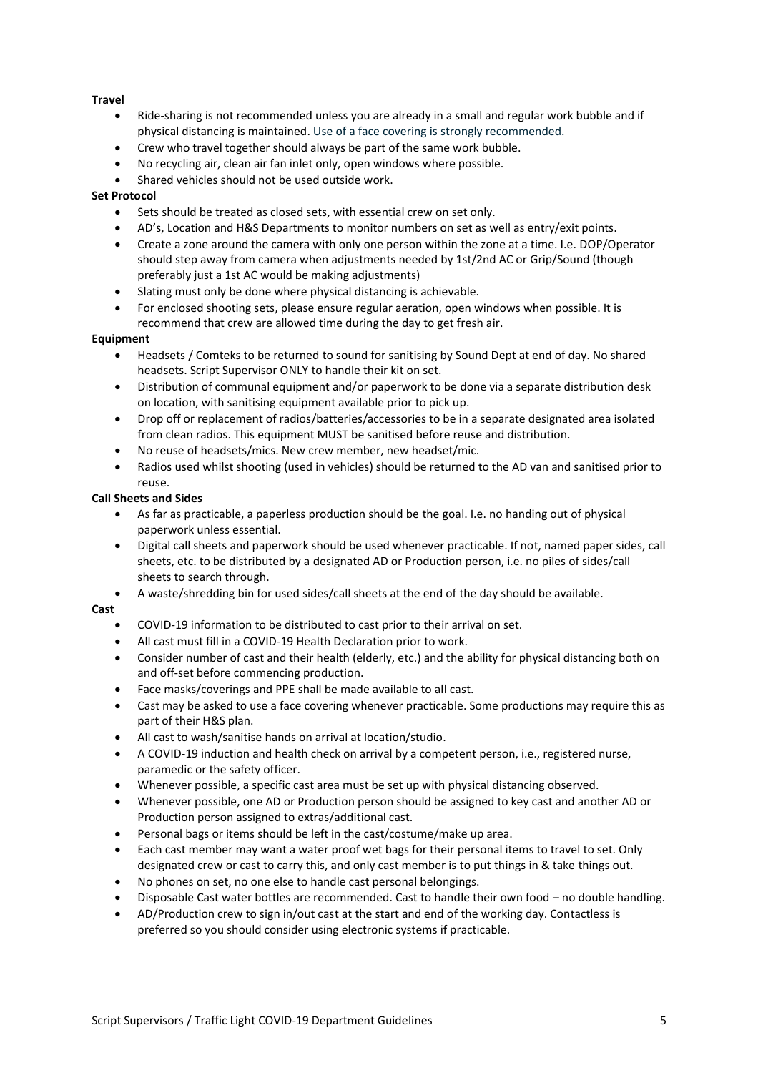#### **Travel**

- Ride-sharing is not recommended unless you are already in a small and regular work bubble and if physical distancing is maintained. Use of a face covering is strongly recommended.
- Crew who travel together should always be part of the same work bubble.
- No recycling air, clean air fan inlet only, open windows where possible.
- Shared vehicles should not be used outside work.

#### **Set Protocol**

- Sets should be treated as closed sets, with essential crew on set only.
- AD's, Location and H&S Departments to monitor numbers on set as well as entry/exit points.
- Create a zone around the camera with only one person within the zone at a time. I.e. DOP/Operator should step away from camera when adjustments needed by 1st/2nd AC or Grip/Sound (though preferably just a 1st AC would be making adjustments)
- Slating must only be done where physical distancing is achievable.
- For enclosed shooting sets, please ensure regular aeration, open windows when possible. It is recommend that crew are allowed time during the day to get fresh air.

#### **Equipment**

- Headsets / Comteks to be returned to sound for sanitising by Sound Dept at end of day. No shared headsets. Script Supervisor ONLY to handle their kit on set.
- Distribution of communal equipment and/or paperwork to be done via a separate distribution desk on location, with sanitising equipment available prior to pick up.
- Drop off or replacement of radios/batteries/accessories to be in a separate designated area isolated from clean radios. This equipment MUST be sanitised before reuse and distribution.
- No reuse of headsets/mics. New crew member, new headset/mic.
- Radios used whilst shooting (used in vehicles) should be returned to the AD van and sanitised prior to reuse.

#### **Call Sheets and Sides**

- As far as practicable, a paperless production should be the goal. I.e. no handing out of physical paperwork unless essential.
- Digital call sheets and paperwork should be used whenever practicable. If not, named paper sides, call sheets, etc. to be distributed by a designated AD or Production person, i.e. no piles of sides/call sheets to search through.
- A waste/shredding bin for used sides/call sheets at the end of the day should be available.

#### **Cast**

- COVID-19 information to be distributed to cast prior to their arrival on set.
- All cast must fill in a COVID-19 Health Declaration prior to work.
- Consider number of cast and their health (elderly, etc.) and the ability for physical distancing both on and off-set before commencing production.
- Face masks/coverings and PPE shall be made available to all cast.
- Cast may be asked to use a face covering whenever practicable. Some productions may require this as part of their H&S plan.
- All cast to wash/sanitise hands on arrival at location/studio.
- A COVID-19 induction and health check on arrival by a competent person, i.e., registered nurse, paramedic or the safety officer.
- Whenever possible, a specific cast area must be set up with physical distancing observed.
- Whenever possible, one AD or Production person should be assigned to key cast and another AD or Production person assigned to extras/additional cast.
- Personal bags or items should be left in the cast/costume/make up area.
- Each cast member may want a water proof wet bags for their personal items to travel to set. Only designated crew or cast to carry this, and only cast member is to put things in & take things out.
- No phones on set, no one else to handle cast personal belongings.
- Disposable Cast water bottles are recommended. Cast to handle their own food no double handling.
- AD/Production crew to sign in/out cast at the start and end of the working day. Contactless is preferred so you should consider using electronic systems if practicable.